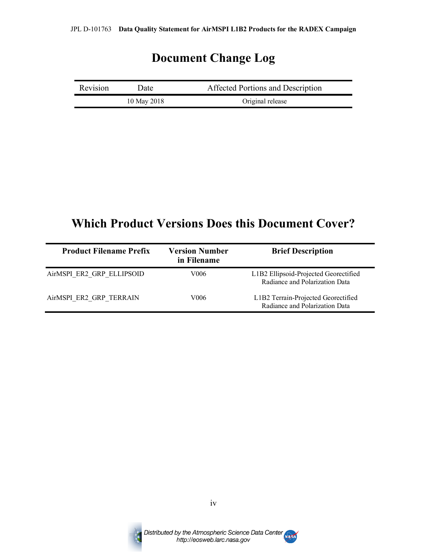# **Document Change Log**

| Revision | Date        | Affected Portions and Description |
|----------|-------------|-----------------------------------|
|          | 10 May 2018 | Original release                  |

# **Which Product Versions Does this Document Cover?**

| <b>Product Filename Prefix</b> | <b>Version Number</b><br>in Filename | <b>Brief Description</b>                                                |
|--------------------------------|--------------------------------------|-------------------------------------------------------------------------|
| AirMSPI ER2 GRP ELLIPSOID      | V006                                 | L1B2 Ellipsoid-Projected Georectified<br>Radiance and Polarization Data |
| AirMSPI ER2 GRP TERRAIN        | V006                                 | L1B2 Terrain-Projected Georectified<br>Radiance and Polarization Data   |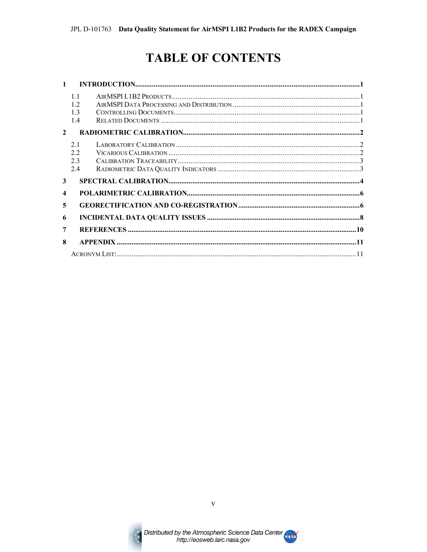# **TABLE OF CONTENTS**

| 1                |                       |  |
|------------------|-----------------------|--|
|                  | 11<br>12<br>13<br>1.4 |  |
| $\overline{2}$   |                       |  |
|                  | 2.1<br>2.2            |  |
|                  | 23<br>2.4             |  |
| 3                |                       |  |
| $\boldsymbol{4}$ |                       |  |
| 5                |                       |  |
| 6                |                       |  |
| 7                |                       |  |
| 8                |                       |  |
|                  |                       |  |



 $\overline{\mathbf{V}}$ 

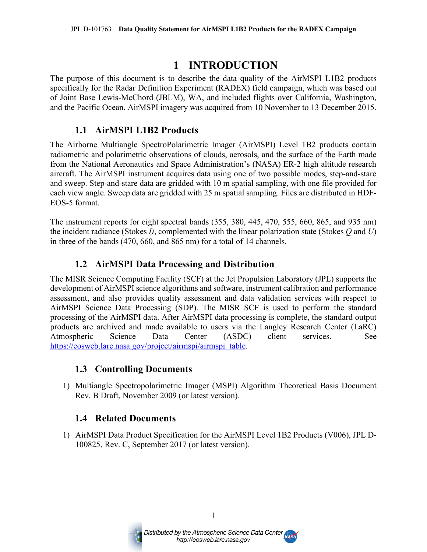## **1 INTRODUCTION**

The purpose of this document is to describe the data quality of the AirMSPI L1B2 products specifically for the Radar Definition Experiment (RADEX) field campaign, which was based out of Joint Base Lewis-McChord (JBLM), WA, and included flights over California, Washington, and the Pacific Ocean. AirMSPI imagery was acquired from 10 November to 13 December 2015.

#### **1.1 AirMSPI L1B2 Products**

The Airborne Multiangle SpectroPolarimetric Imager (AirMSPI) Level 1B2 products contain radiometric and polarimetric observations of clouds, aerosols, and the surface of the Earth made from the National Aeronautics and Space Administration's (NASA) ER-2 high altitude research aircraft. The AirMSPI instrument acquires data using one of two possible modes, step-and-stare and sweep. Step-and-stare data are gridded with 10 m spatial sampling, with one file provided for each view angle. Sweep data are gridded with 25 m spatial sampling. Files are distributed in HDF-EOS-5 format.

The instrument reports for eight spectral bands (355, 380, 445, 470, 555, 660, 865, and 935 nm) the incident radiance (Stokes *I)*, complemented with the linear polarization state (Stokes *Q* and *U*) in three of the bands (470, 660, and 865 nm) for a total of 14 channels.

#### **1.2 AirMSPI Data Processing and Distribution**

The MISR Science Computing Facility (SCF) at the Jet Propulsion Laboratory (JPL) supports the development of AirMSPI science algorithms and software, instrument calibration and performance assessment, and also provides quality assessment and data validation services with respect to AirMSPI Science Data Processing (SDP). The MISR SCF is used to perform the standard processing of the AirMSPI data. After AirMSPI data processing is complete, the standard output products are archived and made available to users via the Langley Research Center (LaRC) Atmospheric Science Data Center (ASDC) client services. See https://eosweb.larc.nasa.gov/project/airmspi/airmspi\_table.

#### **1.3 Controlling Documents**

1) Multiangle Spectropolarimetric Imager (MSPI) Algorithm Theoretical Basis Document Rev. B Draft, November 2009 (or latest version).

#### **1.4 Related Documents**

1) AirMSPI Data Product Specification for the AirMSPI Level 1B2 Products (V006), JPL D-100825, Rev. C, September 2017 (or latest version).



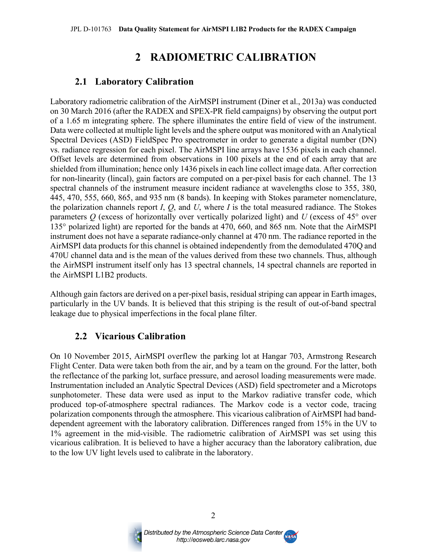# **2 RADIOMETRIC CALIBRATION**

#### **2.1 Laboratory Calibration**

Laboratory radiometric calibration of the AirMSPI instrument (Diner et al., 2013a) was conducted on 30 March 2016 (after the RADEX and SPEX-PR field campaigns) by observing the output port of a 1.65 m integrating sphere. The sphere illuminates the entire field of view of the instrument. Data were collected at multiple light levels and the sphere output was monitored with an Analytical Spectral Devices (ASD) FieldSpec Pro spectrometer in order to generate a digital number (DN) vs. radiance regression for each pixel. The AirMSPI line arrays have 1536 pixels in each channel. Offset levels are determined from observations in 100 pixels at the end of each array that are shielded from illumination; hence only 1436 pixels in each line collect image data. After correction for non-linearity (lincal), gain factors are computed on a per-pixel basis for each channel. The 13 spectral channels of the instrument measure incident radiance at wavelengths close to 355, 380, 445, 470, 555, 660, 865, and 935 nm (8 bands). In keeping with Stokes parameter nomenclature, the polarization channels report *I*, *Q*, and *U*, where *I* is the total measured radiance. The Stokes parameters *Q* (excess of horizontally over vertically polarized light) and *U* (excess of 45° over 135° polarized light) are reported for the bands at 470, 660, and 865 nm. Note that the AirMSPI instrument does not have a separate radiance-only channel at 470 nm. The radiance reported in the AirMSPI data products for this channel is obtained independently from the demodulated 470Q and 470U channel data and is the mean of the values derived from these two channels. Thus, although the AirMSPI instrument itself only has 13 spectral channels, 14 spectral channels are reported in the AirMSPI L1B2 products.

Although gain factors are derived on a per-pixel basis, residual striping can appear in Earth images, particularly in the UV bands. It is believed that this striping is the result of out-of-band spectral leakage due to physical imperfections in the focal plane filter.

#### **2.2 Vicarious Calibration**

On 10 November 2015, AirMSPI overflew the parking lot at Hangar 703, Armstrong Research Flight Center. Data were taken both from the air, and by a team on the ground. For the latter, both the reflectance of the parking lot, surface pressure, and aerosol loading measurements were made. Instrumentation included an Analytic Spectral Devices (ASD) field spectrometer and a Microtops sunphotometer. These data were used as input to the Markov radiative transfer code, which produced top-of-atmosphere spectral radiances. The Markov code is a vector code, tracing polarization components through the atmosphere. This vicarious calibration of AirMSPI had banddependent agreement with the laboratory calibration. Differences ranged from 15% in the UV to 1% agreement in the mid-visible. The radiometric calibration of AirMSPI was set using this vicarious calibration. It is believed to have a higher accuracy than the laboratory calibration, due to the low UV light levels used to calibrate in the laboratory.



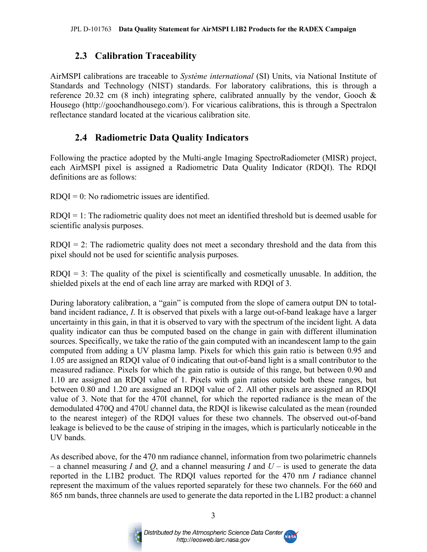#### **2.3 Calibration Traceability**

AirMSPI calibrations are traceable to *Système international* (SI) Units, via National Institute of Standards and Technology (NIST) standards. For laboratory calibrations, this is through a reference 20.32 cm (8 inch) integrating sphere, calibrated annually by the vendor, Gooch & Housego (http://goochandhousego.com/). For vicarious calibrations, this is through a Spectralon reflectance standard located at the vicarious calibration site.

#### **2.4 Radiometric Data Quality Indicators**

Following the practice adopted by the Multi-angle Imaging SpectroRadiometer (MISR) project, each AirMSPI pixel is assigned a Radiometric Data Quality Indicator (RDQI). The RDQI definitions are as follows:

 $RDOI = 0$ : No radiometric issues are identified.

 $RDQI = 1$ : The radiometric quality does not meet an identified threshold but is deemed usable for scientific analysis purposes.

 $RDQI = 2$ : The radiometric quality does not meet a secondary threshold and the data from this pixel should not be used for scientific analysis purposes.

RDQI = 3: The quality of the pixel is scientifically and cosmetically unusable. In addition, the shielded pixels at the end of each line array are marked with RDQI of 3.

During laboratory calibration, a "gain" is computed from the slope of camera output DN to totalband incident radiance, *I*. It is observed that pixels with a large out-of-band leakage have a larger uncertainty in this gain, in that it is observed to vary with the spectrum of the incident light. A data quality indicator can thus be computed based on the change in gain with different illumination sources. Specifically, we take the ratio of the gain computed with an incandescent lamp to the gain computed from adding a UV plasma lamp. Pixels for which this gain ratio is between 0.95 and 1.05 are assigned an RDQI value of 0 indicating that out-of-band light is a small contributor to the measured radiance. Pixels for which the gain ratio is outside of this range, but between 0.90 and 1.10 are assigned an RDQI value of 1. Pixels with gain ratios outside both these ranges, but between 0.80 and 1.20 are assigned an RDQI value of 2. All other pixels are assigned an RDQI value of 3. Note that for the 470I channel, for which the reported radiance is the mean of the demodulated 470Q and 470U channel data, the RDQI is likewise calculated as the mean (rounded to the nearest integer) of the RDQI values for these two channels. The observed out-of-band leakage is believed to be the cause of striping in the images, which is particularly noticeable in the UV bands.

As described above, for the 470 nm radiance channel, information from two polarimetric channels – a channel measuring *I* and *Q*, and a channel measuring *I* and *U* – is used to generate the data reported in the L1B2 product. The RDQI values reported for the 470 nm *I* radiance channel represent the maximum of the values reported separately for these two channels. For the 660 and 865 nm bands, three channels are used to generate the data reported in the L1B2 product: a channel



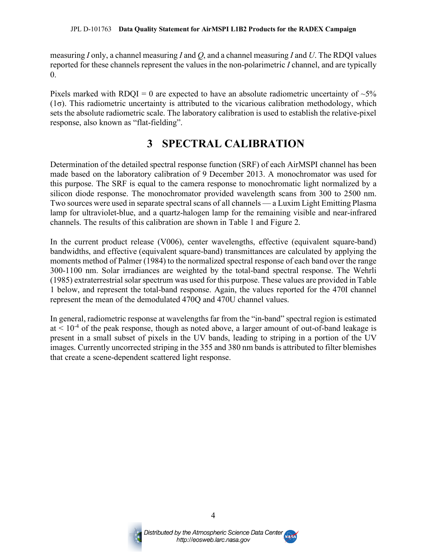measuring *I* only, a channel measuring *I* and *Q*, and a channel measuring *I* and *U*. The RDQI values reported for these channels represent the values in the non-polarimetric *I* channel, and are typically 0.

Pixels marked with RDQI = 0 are expected to have an absolute radiometric uncertainty of  $\sim$ 5% (1σ). This radiometric uncertainty is attributed to the vicarious calibration methodology, which sets the absolute radiometric scale. The laboratory calibration is used to establish the relative-pixel response, also known as "flat-fielding".

### **3 SPECTRAL CALIBRATION**

Determination of the detailed spectral response function (SRF) of each AirMSPI channel has been made based on the laboratory calibration of 9 December 2013. A monochromator was used for this purpose. The SRF is equal to the camera response to monochromatic light normalized by a silicon diode response. The monochromator provided wavelength scans from 300 to 2500 nm. Two sources were used in separate spectral scans of all channels — a Luxim Light Emitting Plasma lamp for ultraviolet-blue, and a quartz-halogen lamp for the remaining visible and near-infrared channels. The results of this calibration are shown in Table 1 and Figure 2.

In the current product release (V006), center wavelengths, effective (equivalent square-band) bandwidths, and effective (equivalent square-band) transmittances are calculated by applying the moments method of Palmer (1984) to the normalized spectral response of each band over the range 300-1100 nm. Solar irradiances are weighted by the total-band spectral response. The Wehrli (1985) extraterrestrial solar spectrum was used for this purpose. These values are provided in Table 1 below, and represent the total-band response. Again, the values reported for the 470I channel represent the mean of the demodulated 470Q and 470U channel values.

In general, radiometric response at wavelengths far from the "in-band" spectral region is estimated  $at < 10^{-4}$  of the peak response, though as noted above, a larger amount of out-of-band leakage is present in a small subset of pixels in the UV bands, leading to striping in a portion of the UV images. Currently uncorrected striping in the 355 and 380 nm bands is attributed to filter blemishes that create a scene-dependent scattered light response.



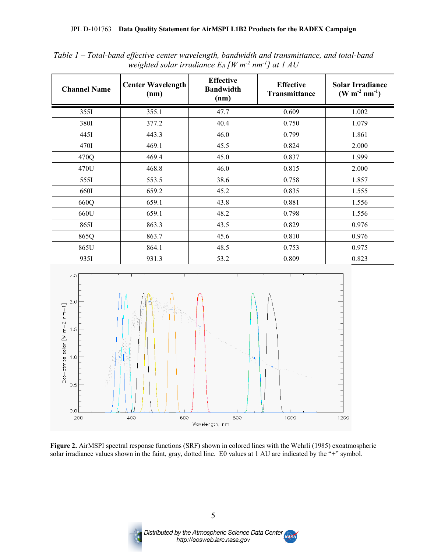| <b>Channel Name</b> | <b>Center Wavelength</b><br>(nm) | <b>Effective</b><br><b>Bandwidth</b><br>(nm) | <b>Effective</b><br>Transmittance | <b>Solar Irradiance</b><br>$(W m^{-2} nm^{-1})$ |
|---------------------|----------------------------------|----------------------------------------------|-----------------------------------|-------------------------------------------------|
| 355I                | 355.1                            | 47.7                                         | 0.609                             | 1.002                                           |
| 380I                | 377.2                            | 40.4                                         | 0.750                             | 1.079                                           |
| 445I                | 443.3                            | 46.0                                         | 0.799                             | 1.861                                           |
| 470I                | 469.1                            | 45.5                                         | 0.824                             | 2.000                                           |
| 470Q                | 469.4                            | 45.0                                         | 0.837                             | 1.999                                           |
| 470U                | 468.8                            | 46.0                                         | 0.815                             | 2.000                                           |
| 5551                | 553.5                            | 38.6                                         | 0.758                             | 1.857                                           |
| 660I                | 659.2                            | 45.2                                         | 0.835                             | 1.555                                           |
| 660Q                | 659.1                            | 43.8                                         | 0.881                             | 1.556                                           |
| 660U                | 659.1                            | 48.2                                         | 0.798                             | 1.556                                           |
| 8651                | 863.3                            | 43.5                                         | 0.829                             | 0.976                                           |
| 865Q                | 863.7                            | 45.6                                         | 0.810                             | 0.976                                           |
| 865U                | 864.1                            | 48.5                                         | 0.753                             | 0.975                                           |
| 935I                | 931.3                            | 53.2                                         | 0.809                             | 0.823                                           |

*Table 1 – Total-band effective center wavelength, bandwidth and transmittance, and total-band weighted solar irradiance E0 [W m-2 nm-1] at 1 AU*



**Figure 2.** AirMSPI spectral response functions (SRF) shown in colored lines with the Wehrli (1985) exoatmospheric solar irradiance values shown in the faint, gray, dotted line. E0 values at 1 AU are indicated by the "+" symbol.



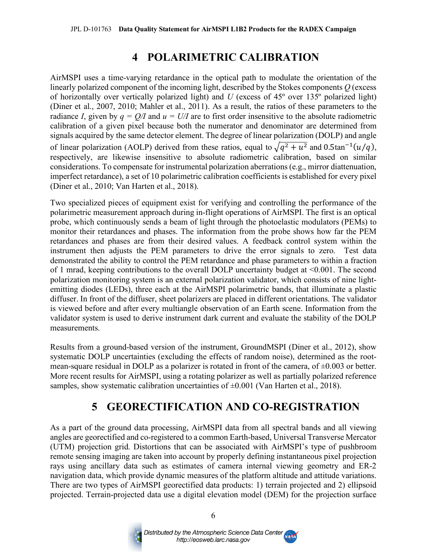### **4 POLARIMETRIC CALIBRATION**

AirMSPI uses a time-varying retardance in the optical path to modulate the orientation of the linearly polarized component of the incoming light, described by the Stokes components *Q* (excess of horizontally over vertically polarized light) and *U* (excess of 45º over 135º polarized light) (Diner et al., 2007, 2010; Mahler et al., 2011). As a result, the ratios of these parameters to the radiance *I*, given by  $q = Q/I$  and  $u = U/I$  are to first order insensitive to the absolute radiometric calibration of a given pixel because both the numerator and denominator are determined from signals acquired by the same detector element. The degree of linear polarization (DOLP) and angle of linear polarization (AOLP) derived from these ratios, equal to  $\sqrt{q^2 + u^2}$  and 0.5tan<sup>-1</sup>(u/q), respectively, are likewise insensitive to absolute radiometric calibration, based on similar considerations. To compensate for instrumental polarization aberrations (e.g., mirror diattenuation, imperfect retardance), a set of 10 polarimetric calibration coefficients is established for every pixel (Diner et al., 2010; Van Harten et al., 2018).

Two specialized pieces of equipment exist for verifying and controlling the performance of the polarimetric measurement approach during in-flight operations of AirMSPI. The first is an optical probe, which continuously sends a beam of light through the photoelastic modulators (PEMs) to monitor their retardances and phases. The information from the probe shows how far the PEM retardances and phases are from their desired values. A feedback control system within the instrument then adjusts the PEM parameters to drive the error signals to zero. Test data demonstrated the ability to control the PEM retardance and phase parameters to within a fraction of 1 mrad, keeping contributions to the overall DOLP uncertainty budget at <0.001. The second polarization monitoring system is an external polarization validator, which consists of nine lightemitting diodes (LEDs), three each at the AirMSPI polarimetric bands, that illuminate a plastic diffuser. In front of the diffuser, sheet polarizers are placed in different orientations. The validator is viewed before and after every multiangle observation of an Earth scene. Information from the validator system is used to derive instrument dark current and evaluate the stability of the DOLP measurements.

Results from a ground-based version of the instrument, GroundMSPI (Diner et al., 2012), show systematic DOLP uncertainties (excluding the effects of random noise), determined as the rootmean-square residual in DOLP as a polarizer is rotated in front of the camera, of ±0.003 or better. More recent results for AirMSPI, using a rotating polarizer as well as partially polarized reference samples, show systematic calibration uncertainties of  $\pm 0.001$  (Van Harten et al., 2018).

# **5 GEORECTIFICATION AND CO-REGISTRATION**

As a part of the ground data processing, AirMSPI data from all spectral bands and all viewing angles are georectified and co-registered to a common Earth-based, Universal Transverse Mercator (UTM) projection grid. Distortions that can be associated with AirMSPI's type of pushbroom remote sensing imaging are taken into account by properly defining instantaneous pixel projection rays using ancillary data such as estimates of camera internal viewing geometry and ER-2 navigation data, which provide dynamic measures of the platform altitude and attitude variations. There are two types of AirMSPI georectified data products: 1) terrain projected and 2) ellipsoid projected. Terrain-projected data use a digital elevation model (DEM) for the projection surface

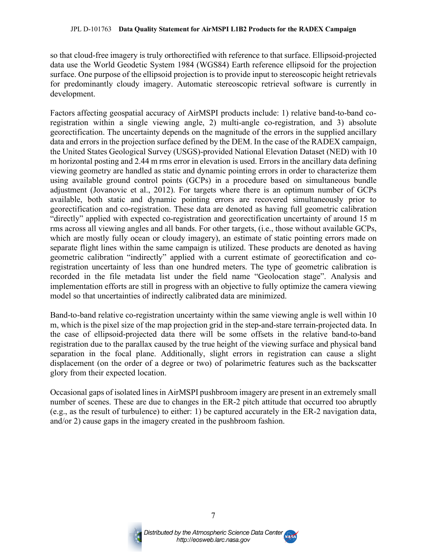so that cloud-free imagery is truly orthorectified with reference to that surface. Ellipsoid-projected data use the World Geodetic System 1984 (WGS84) Earth reference ellipsoid for the projection surface. One purpose of the ellipsoid projection is to provide input to stereoscopic height retrievals for predominantly cloudy imagery. Automatic stereoscopic retrieval software is currently in development.

Factors affecting geospatial accuracy of AirMSPI products include: 1) relative band-to-band coregistration within a single viewing angle, 2) multi-angle co-registration, and 3) absolute georectification. The uncertainty depends on the magnitude of the errors in the supplied ancillary data and errors in the projection surface defined by the DEM. In the case of the RADEX campaign, the United States Geological Survey (USGS)-provided National Elevation Dataset (NED) with 10 m horizontal posting and 2.44 m rms error in elevation is used. Errors in the ancillary data defining viewing geometry are handled as static and dynamic pointing errors in order to characterize them using available ground control points (GCPs) in a procedure based on simultaneous bundle adjustment (Jovanovic et al., 2012). For targets where there is an optimum number of GCPs available, both static and dynamic pointing errors are recovered simultaneously prior to georectification and co-registration. These data are denoted as having full geometric calibration "directly" applied with expected co-registration and georectification uncertainty of around 15 m rms across all viewing angles and all bands. For other targets, (i.e., those without available GCPs, which are mostly fully ocean or cloudy imagery), an estimate of static pointing errors made on separate flight lines within the same campaign is utilized. These products are denoted as having geometric calibration "indirectly" applied with a current estimate of georectification and coregistration uncertainty of less than one hundred meters. The type of geometric calibration is recorded in the file metadata list under the field name "Geolocation stage". Analysis and implementation efforts are still in progress with an objective to fully optimize the camera viewing model so that uncertainties of indirectly calibrated data are minimized.

Band-to-band relative co-registration uncertainty within the same viewing angle is well within 10 m, which is the pixel size of the map projection grid in the step-and-stare terrain-projected data. In the case of ellipsoid-projected data there will be some offsets in the relative band-to-band registration due to the parallax caused by the true height of the viewing surface and physical band separation in the focal plane. Additionally, slight errors in registration can cause a slight displacement (on the order of a degree or two) of polarimetric features such as the backscatter glory from their expected location.

Occasional gaps of isolated lines in AirMSPI pushbroom imagery are present in an extremely small number of scenes. These are due to changes in the ER-2 pitch attitude that occurred too abruptly (e.g., as the result of turbulence) to either: 1) be captured accurately in the ER-2 navigation data, and/or 2) cause gaps in the imagery created in the pushbroom fashion.



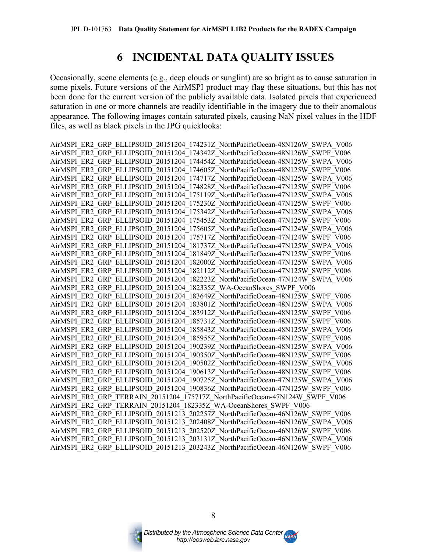### **6 INCIDENTAL DATA QUALITY ISSUES**

Occasionally, scene elements (e.g., deep clouds or sunglint) are so bright as to cause saturation in some pixels. Future versions of the AirMSPI product may flag these situations, but this has not been done for the current version of the publicly available data. Isolated pixels that experienced saturation in one or more channels are readily identifiable in the imagery due to their anomalous appearance. The following images contain saturated pixels, causing NaN pixel values in the HDF files, as well as black pixels in the JPG quicklooks:

AirMSPI\_ER2\_GRP\_ELLIPSOID\_20151204\_174231Z\_NorthPacificOcean-48N126W\_SWPA\_V006 AirMSPI\_ER2\_GRP\_ELLIPSOID\_20151204\_174342Z\_NorthPacificOcean-48N126W\_SWPF\_V006 AirMSPI\_ER2\_GRP\_ELLIPSOID\_20151204\_174454Z\_NorthPacificOcean-48N125W\_SWPA\_V006 AirMSPI\_ER2\_GRP\_ELLIPSOID\_20151204\_174605Z\_NorthPacificOcean-48N125W\_SWPF\_V006 AirMSPI\_ER2\_GRP\_ELLIPSOID\_20151204\_174717Z\_NorthPacificOcean-48N125W\_SWPA\_V006 AirMSPI\_ER2\_GRP\_ELLIPSOID\_20151204\_174828Z\_NorthPacificOcean-47N125W\_SWPF\_V006 AirMSPI\_ER2\_GRP\_ELLIPSOID\_20151204\_175119Z\_NorthPacificOcean-47N125W\_SWPA\_V006 AirMSPI\_ER2\_GRP\_ELLIPSOID\_20151204\_175230Z\_NorthPacificOcean-47N125W\_SWPF\_V006 AirMSPI\_ER2\_GRP\_ELLIPSOID\_20151204\_175342Z\_NorthPacificOcean-47N125W\_SWPA\_V006 AirMSPI\_ER2\_GRP\_ELLIPSOID\_20151204\_175453Z\_NorthPacificOcean-47N125W\_SWPF\_V006 AirMSPI\_ER2\_GRP\_ELLIPSOID\_20151204\_175605Z\_NorthPacificOcean-47N124W\_SWPA\_V006 AirMSPI\_ER2\_GRP\_ELLIPSOID\_20151204\_175717Z\_NorthPacificOcean-47N124W\_SWPF\_V006 AirMSPI\_ER2\_GRP\_ELLIPSOID\_20151204\_181737Z\_NorthPacificOcean-47N125W\_SWPA\_V006 AirMSPI\_ER2\_GRP\_ELLIPSOID\_20151204\_181849Z\_NorthPacificOcean-47N125W\_SWPF\_V006 AirMSPI\_ER2\_GRP\_ELLIPSOID\_20151204\_182000Z\_NorthPacificOcean-47N125W\_SWPA\_V006 AirMSPI\_ER2\_GRP\_ELLIPSOID\_20151204\_182112Z\_NorthPacificOcean-47N125W\_SWPF\_V006 AirMSPI\_ER2\_GRP\_ELLIPSOID\_20151204\_182223Z\_NorthPacificOcean-47N124W\_SWPA\_V006 AirMSPI\_ER2\_GRP\_ELLIPSOID\_20151204\_182335Z\_WA-OceanShores\_SWPF\_V006 AirMSPI\_ER2\_GRP\_ELLIPSOID\_20151204\_183649Z\_NorthPacificOcean-48N125W\_SWPF\_V006 AirMSPI\_ER2\_GRP\_ELLIPSOID\_20151204\_183801Z\_NorthPacificOcean-48N125W\_SWPA\_V006 AirMSPI\_ER2\_GRP\_ELLIPSOID\_20151204\_183912Z\_NorthPacificOcean-48N125W\_SWPF\_V006 AirMSPI\_ER2\_GRP\_ELLIPSOID\_20151204\_185731Z\_NorthPacificOcean-48N125W\_SWPF\_V006 AirMSPI\_ER2\_GRP\_ELLIPSOID\_20151204\_185843Z\_NorthPacificOcean-48N125W\_SWPA\_V006 AirMSPI\_ER2\_GRP\_ELLIPSOID\_20151204\_185955Z\_NorthPacificOcean-48N125W\_SWPF\_V006 AirMSPI\_ER2\_GRP\_ELLIPSOID\_20151204\_190239Z\_NorthPacificOcean-48N125W\_SWPA\_V006 AirMSPI\_ER2\_GRP\_ELLIPSOID\_20151204\_190350Z\_NorthPacificOcean-48N125W\_SWPF\_V006 AirMSPI\_ER2\_GRP\_ELLIPSOID\_20151204\_190502Z\_NorthPacificOcean-48N125W\_SWPA\_V006 AirMSPI\_ER2\_GRP\_ELLIPSOID\_20151204\_190613Z\_NorthPacificOcean-48N125W\_SWPF\_V006 AirMSPI\_ER2\_GRP\_ELLIPSOID\_20151204\_190725Z\_NorthPacificOcean-47N125W\_SWPA\_V006 AirMSPI\_ER2\_GRP\_ELLIPSOID\_20151204\_190836Z\_NorthPacificOcean-47N125W\_SWPF\_V006 AirMSPI\_ER2\_GRP\_TERRAIN\_20151204\_175717Z\_NorthPacificOcean-47N124W\_SWPF\_V006 AirMSPI\_ER2\_GRP\_TERRAIN\_20151204\_182335Z\_WA-OceanShores\_SWPF\_V006 AirMSPI\_ER2\_GRP\_ELLIPSOID\_20151213\_202257Z\_NorthPacificOcean-46N126W\_SWPF\_V006 AirMSPI\_ER2\_GRP\_ELLIPSOID\_20151213\_202408Z\_NorthPacificOcean-46N126W\_SWPA\_V006 AirMSPI\_ER2\_GRP\_ELLIPSOID\_20151213\_202520Z\_NorthPacificOcean-46N126W\_SWPF\_V006 AirMSPI\_ER2\_GRP\_ELLIPSOID\_20151213\_203131Z\_NorthPacificOcean-46N126W\_SWPA\_V006 AirMSPI\_ER2\_GRP\_ELLIPSOID\_20151213\_203243Z\_NorthPacificOcean-46N126W\_SWPF\_V006



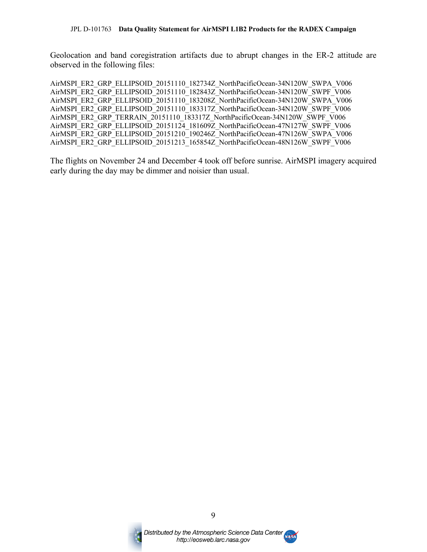Geolocation and band coregistration artifacts due to abrupt changes in the ER-2 attitude are observed in the following files:

AirMSPI\_ER2\_GRP\_ELLIPSOID\_20151110\_182734Z\_NorthPacificOcean-34N120W\_SWPA\_V006 AirMSPI\_ER2\_GRP\_ELLIPSOID\_20151110\_182843Z\_NorthPacificOcean-34N120W\_SWPF\_V006 AirMSPI\_ER2\_GRP\_ELLIPSOID\_20151110\_183208Z\_NorthPacificOcean-34N120W\_SWPA\_V006 AirMSPI\_ER2\_GRP\_ELLIPSOID\_20151110\_183317Z\_NorthPacificOcean-34N120W\_SWPF\_V006 AirMSPI\_ER2\_GRP\_TERRAIN\_20151110\_183317Z\_NorthPacificOcean-34N120W\_SWPF\_V006 AirMSPI\_ER2\_GRP\_ELLIPSOID\_20151124\_181609Z\_NorthPacificOcean-47N127W\_SWPF\_V006 AirMSPI\_ER2\_GRP\_ELLIPSOID\_20151210\_190246Z\_NorthPacificOcean-47N126W\_SWPA\_V006 AirMSPI\_ER2\_GRP\_ELLIPSOID\_20151213\_165854Z\_NorthPacificOcean-48N126W\_SWPF\_V006

The flights on November 24 and December 4 took off before sunrise. AirMSPI imagery acquired early during the day may be dimmer and noisier than usual.



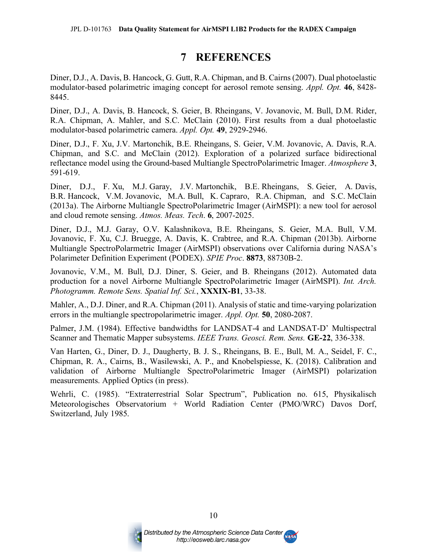### **7 REFERENCES**

Diner, D.J., A. Davis, B. Hancock, G. Gutt, R.A. Chipman, and B. Cairns(2007). Dual photoelastic modulator-based polarimetric imaging concept for aerosol remote sensing. *Appl. Opt.* **46**, 8428- 8445.

Diner, D.J., A. Davis, B. Hancock, S. Geier, B. Rheingans, V. Jovanovic, M. Bull, D.M. Rider, R.A. Chipman, A. Mahler, and S.C. McClain (2010). First results from a dual photoelastic modulator-based polarimetric camera. *Appl. Opt.* **49**, 2929-2946.

Diner, D.J., F. Xu, J.V. Martonchik, B.E. Rheingans, S. Geier, V.M. Jovanovic, A. Davis, R.A. Chipman, and S.C. and McClain (2012). Exploration of a polarized surface bidirectional reflectance model using the Ground-based Multiangle SpectroPolarimetric Imager. *Atmosphere* **3**, 591-619.

Diner, D.J., F. Xu, M.J. Garay, J.V. Martonchik, B.E. Rheingans, S. Geier, A. Davis, B.R. Hancock, V.M. Jovanovic, M.A. Bull, K. Capraro, R.A. Chipman, and S.C. McClain (2013a). The Airborne Multiangle SpectroPolarimetric Imager (AirMSPI): a new tool for aerosol and cloud remote sensing. *Atmos. Meas. Tech*. **6**, 2007-2025.

Diner, D.J., M.J. Garay, O.V. Kalashnikova, B.E. Rheingans, S. Geier, M.A. Bull, V.M. Jovanovic, F. Xu, C.J. Bruegge, A. Davis, K. Crabtree, and R.A. Chipman (2013b). Airborne Multiangle SpectroPolarmetric Imager (AirMSPI) observations over California during NASA's Polarimeter Definition Experiment (PODEX). *SPIE Proc*. **8873**, 88730B-2.

Jovanovic, V.M., M. Bull, D.J. Diner, S. Geier, and B. Rheingans (2012). Automated data production for a novel Airborne Multiangle SpectroPolarimetric Imager (AirMSPI). *Int. Arch. Photogramm. Remote Sens. Spatial Inf. Sci.*, **XXXIX-B1**, 33-38.

Mahler, A., D.J. Diner, and R.A. Chipman (2011). Analysis of static and time-varying polarization errors in the multiangle spectropolarimetric imager. *Appl. Opt.* **50**, 2080-2087.

Palmer, J.M. (1984). Effective bandwidths for LANDSAT-4 and LANDSAT-D' Multispectral Scanner and Thematic Mapper subsystems. *IEEE Trans. Geosci. Rem. Sens.* **GE-22**, 336-338.

Van Harten, G., Diner, D. J., Daugherty, B. J. S., Rheingans, B. E., Bull, M. A., Seidel, F. C., Chipman, R. A., Cairns, B., Wasilewski, A. P., and Knobelspiesse, K. (2018). Calibration and validation of Airborne Multiangle SpectroPolarimetric Imager (AirMSPI) polarization measurements. Applied Optics (in press).

Wehrli, C. (1985). "Extraterrestrial Solar Spectrum", Publication no. 615, Physikalisch Meteorologisches Observatorium + World Radiation Center (PMO/WRC) Davos Dorf, Switzerland, July 1985.



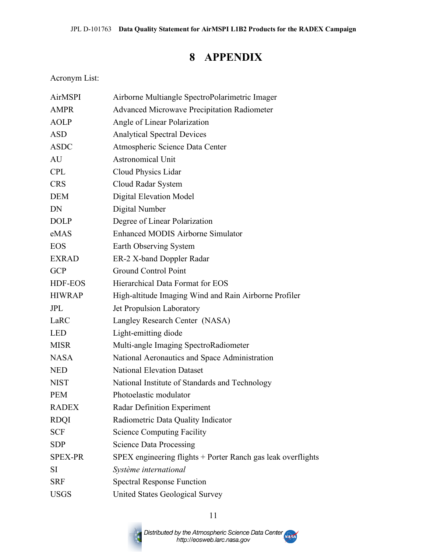# **8 APPENDIX**

Acronym List:

| <b>AirMSPI</b> | Airborne Multiangle SpectroPolarimetric Imager               |  |
|----------------|--------------------------------------------------------------|--|
| <b>AMPR</b>    | <b>Advanced Microwave Precipitation Radiometer</b>           |  |
| <b>AOLP</b>    | Angle of Linear Polarization                                 |  |
| <b>ASD</b>     | <b>Analytical Spectral Devices</b>                           |  |
| <b>ASDC</b>    | Atmospheric Science Data Center                              |  |
| AU             | <b>Astronomical Unit</b>                                     |  |
| <b>CPL</b>     | Cloud Physics Lidar                                          |  |
| <b>CRS</b>     | Cloud Radar System                                           |  |
| <b>DEM</b>     | <b>Digital Elevation Model</b>                               |  |
| DN             | Digital Number                                               |  |
| <b>DOLP</b>    | Degree of Linear Polarization                                |  |
| eMAS           | <b>Enhanced MODIS Airborne Simulator</b>                     |  |
| <b>EOS</b>     | Earth Observing System                                       |  |
| <b>EXRAD</b>   | ER-2 X-band Doppler Radar                                    |  |
| <b>GCP</b>     | <b>Ground Control Point</b>                                  |  |
| HDF-EOS        | Hierarchical Data Format for EOS                             |  |
| <b>HIWRAP</b>  | High-altitude Imaging Wind and Rain Airborne Profiler        |  |
| <b>JPL</b>     | Jet Propulsion Laboratory                                    |  |
| LaRC           | Langley Research Center (NASA)                               |  |
| <b>LED</b>     | Light-emitting diode                                         |  |
| <b>MISR</b>    | Multi-angle Imaging SpectroRadiometer                        |  |
| <b>NASA</b>    | National Aeronautics and Space Administration                |  |
| <b>NED</b>     | <b>National Elevation Dataset</b>                            |  |
| <b>NIST</b>    | National Institute of Standards and Technology               |  |
| <b>PEM</b>     | Photoelastic modulator                                       |  |
| <b>RADEX</b>   | Radar Definition Experiment                                  |  |
| <b>RDQI</b>    | Radiometric Data Quality Indicator                           |  |
| <b>SCF</b>     | <b>Science Computing Facility</b>                            |  |
| <b>SDP</b>     | <b>Science Data Processing</b>                               |  |
| <b>SPEX-PR</b> | SPEX engineering flights + Porter Ranch gas leak overflights |  |
| <b>SI</b>      | Système international                                        |  |
| <b>SRF</b>     | <b>Spectral Response Function</b>                            |  |
| <b>USGS</b>    | <b>United States Geological Survey</b>                       |  |

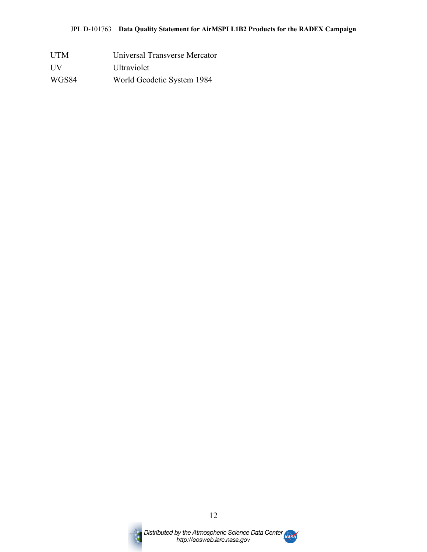UTM Universal Transverse Mercator UV Ultraviolet WGS84 World Geodetic System 1984